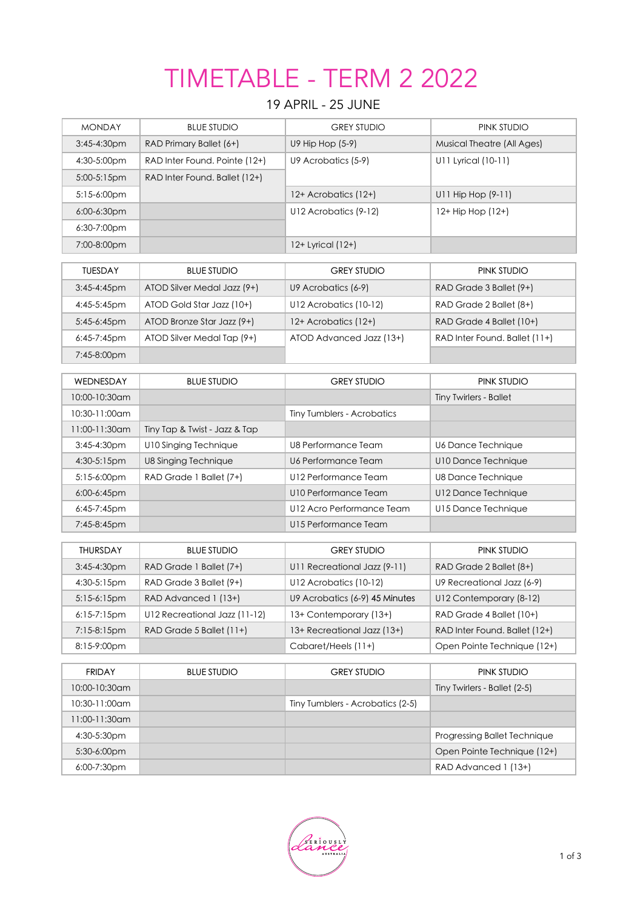# TIMETABLE - TERM 2 2022

## 19 APRIL - 25 JUNE

| <b>MONDAY</b>   | <b>BLUE STUDIO</b>            | <b>GREY STUDIO</b>               | PINK STUDIO                       |
|-----------------|-------------------------------|----------------------------------|-----------------------------------|
| 3:45-4:30pm     | RAD Primary Ballet (6+)       | U9 Hip Hop (5-9)                 | <b>Musical Theatre (All Ages)</b> |
| 4:30-5:00pm     | RAD Inter Found. Pointe (12+) | U9 Acrobatics (5-9)              | U11 Lyrical (10-11)               |
| 5:00-5:15pm     | RAD Inter Found. Ballet (12+) |                                  |                                   |
| 5:15-6:00pm     |                               | 12+ Acrobatics (12+)             | U11 Hip Hop (9-11)                |
| 6:00-6:30pm     |                               | U12 Acrobatics (9-12)            | 12+ Hip Hop (12+)                 |
| 6:30-7:00pm     |                               |                                  |                                   |
| 7:00-8:00pm     |                               | 12+ Lyrical (12+)                |                                   |
|                 |                               | <b>GREY STUDIO</b>               |                                   |
| <b>TUESDAY</b>  | <b>BLUE STUDIO</b>            |                                  | PINK STUDIO                       |
| 3:45-4:45pm     | ATOD Silver Medal Jazz (9+)   | U9 Acrobatics (6-9)              | RAD Grade 3 Ballet (9+)           |
| 4:45-5:45pm     | ATOD Gold Star Jazz (10+)     | U12 Acrobatics (10-12)           | RAD Grade 2 Ballet (8+)           |
| 5:45-6:45pm     | ATOD Bronze Star Jazz (9+)    | 12+ Acrobatics (12+)             | RAD Grade 4 Ballet (10+)          |
| 6:45-7:45pm     | ATOD Silver Medal Tap (9+)    | ATOD Advanced Jazz (13+)         | RAD Inter Found. Ballet (11+)     |
| 7:45-8:00pm     |                               |                                  |                                   |
| WEDNESDAY       | <b>BLUE STUDIO</b>            | <b>GREY STUDIO</b>               | PINK STUDIO                       |
| 10:00-10:30am   |                               |                                  | <b>Tiny Twirlers - Ballet</b>     |
| 10:30-11:00am   |                               | Tiny Tumblers - Acrobatics       |                                   |
| 11:00-11:30am   | Tiny Tap & Twist - Jazz & Tap |                                  |                                   |
| 3:45-4:30pm     | U10 Singing Technique         | <b>U8 Performance Team</b>       | <b>U6 Dance Technique</b>         |
| 4:30-5:15pm     | U8 Singing Technique          | U6 Performance Team              | U10 Dance Technique               |
| 5:15-6:00pm     | RAD Grade 1 Ballet (7+)       | U12 Performance Team             | <b>U8 Dance Technique</b>         |
| $6:00-6:45$ pm  |                               | U10 Performance Team             | U12 Dance Technique               |
| 6:45-7:45pm     |                               | U12 Acro Performance Team        | U15 Dance Technique               |
| 7:45-8:45pm     |                               | U15 Performance Team             |                                   |
| <b>THURSDAY</b> | <b>BLUE STUDIO</b>            | <b>GREY STUDIO</b>               | PINK STUDIO                       |
| 3:45-4:30pm     | RAD Grade 1 Ballet (7+)       | U11 Recreational Jazz (9-11)     | RAD Grade 2 Ballet (8+)           |
| 4:30-5:15pm     | RAD Grade 3 Ballet (9+)       | U12 Acrobatics (10-12)           | U9 Recreational Jazz (6-9)        |
| 5:15-6:15pm     | RAD Advanced 1 (13+)          | U9 Acrobatics (6-9) 45 Minutes   | U12 Contemporary (8-12)           |
| 6:15-7:15pm     | U12 Recreational Jazz (11-12) | 13+ Contemporary (13+)           | RAD Grade 4 Ballet (10+)          |
| 7:15-8:15pm     | RAD Grade 5 Ballet (11+)      | 13+ Recreational Jazz (13+)      | RAD Inter Found. Ballet (12+)     |
| 8:15-9:00pm     |                               | Cabaret/Heels (11+)              | Open Pointe Technique (12+)       |
|                 |                               |                                  |                                   |
| <b>FRIDAY</b>   | <b>BLUE STUDIO</b>            | <b>GREY STUDIO</b>               | PINK STUDIO                       |
| 10:00-10:30am   |                               |                                  | Tiny Twirlers - Ballet (2-5)      |
| 10:30-11:00am   |                               | Tiny Tumblers - Acrobatics (2-5) |                                   |
| 11:00-11:30am   |                               |                                  |                                   |
| 4:30-5:30pm     |                               |                                  | Progressing Ballet Technique      |
| 5:30-6:00pm     |                               |                                  | Open Pointe Technique (12+)       |
| 6:00-7:30pm     |                               |                                  | RAD Advanced 1 (13+)              |

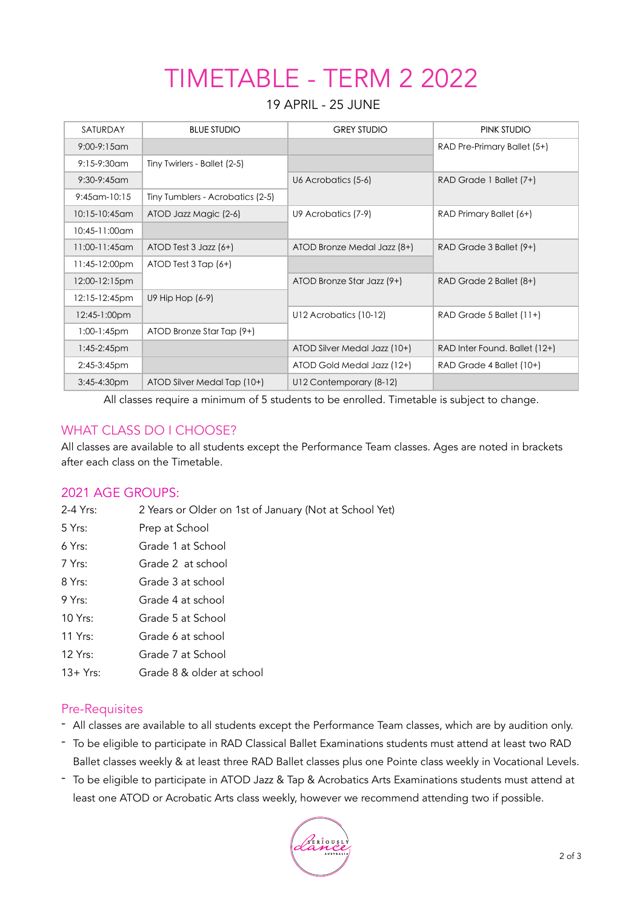# TIMETABLE - TERM 2 2022

#### 19 APRIL - 25 JUNE

| SATURDAY           | <b>BLUE STUDIO</b>               | <b>GREY STUDIO</b>           | PINK STUDIO                   |
|--------------------|----------------------------------|------------------------------|-------------------------------|
| $9:00-9:15$ am     |                                  |                              | RAD Pre-Primary Ballet (5+)   |
| $9:15-9:30$ am     | Tiny Twirlers - Ballet (2-5)     |                              |                               |
| $9:30-9:45$ am     |                                  | U6 Acrobatics (5-6)          | RAD Grade 1 Ballet (7+)       |
| $9:45$ cm- $10:15$ | Tiny Tumblers - Acrobatics (2-5) |                              |                               |
| 10:15-10:45am      | ATOD Jazz Magic (2-6)            | U9 Acrobatics (7-9)          | RAD Primary Ballet (6+)       |
| 10:45-11:00am      |                                  |                              |                               |
| $11:00-11:45$ am   | $ATOD Test 3 Jazz (6+)$          | ATOD Bronze Medal Jazz (8+)  | RAD Grade 3 Ballet (9+)       |
| 11:45-12:00pm      | $ATOD Test 3 Top (6+)$           |                              |                               |
| 12:00-12:15pm      |                                  | ATOD Bronze Star Jazz (9+)   | RAD Grade 2 Ballet (8+)       |
| 12:15-12:45pm      | U9 Hip Hop (6-9)                 |                              |                               |
| 12:45-1:00pm       |                                  | U12 Acrobatics (10-12)       | RAD Grade 5 Ballet (11+)      |
| $1:00-1:45$ pm     | ATOD Bronze Star Tap (9+)        |                              |                               |
| $1:45-2:45$ pm     |                                  | ATOD Silver Medal Jazz (10+) | RAD Inter Found. Ballet (12+) |
| $2:45-3:45$ pm     |                                  | ATOD Gold Medal Jazz (12+)   | RAD Grade 4 Ballet (10+)      |
| $3:45 - 4:30$ pm   | ATOD Silver Medal Tap (10+)      | U12 Contemporary (8-12)      |                               |

All classes require a minimum of 5 students to be enrolled. Timetable is subject to change.

### WHAT CLASS DO I CHOOSE?

All classes are available to all students except the Performance Team classes. Ages are noted in brackets after each class on the Timetable.

### 2021 AGE GROUPS:

- 2-4 Yrs: 2 Years or Older on 1st of January (Not at School Yet)
- 5 Yrs: Prep at School 6 Yrs: Grade 1 at School 7 Yrs: Grade 2 at school 8 Yrs: Grade 3 at school 9 Yrs: Grade 4 at school 10 Yrs: Grade 5 at School 11 Yrs: Grade 6 at school 12 Yrs: Grade 7 at School 13+ Yrs: Grade 8 & older at school

### Pre-Requisites

- All classes are available to all students except the Performance Team classes, which are by audition only.
- To be eligible to participate in RAD Classical Ballet Examinations students must attend at least two RAD Ballet classes weekly & at least three RAD Ballet classes plus one Pointe class weekly in Vocational Levels.
- To be eligible to participate in ATOD Jazz & Tap & Acrobatics Arts Examinations students must attend at least one ATOD or Acrobatic Arts class weekly, however we recommend attending two if possible.